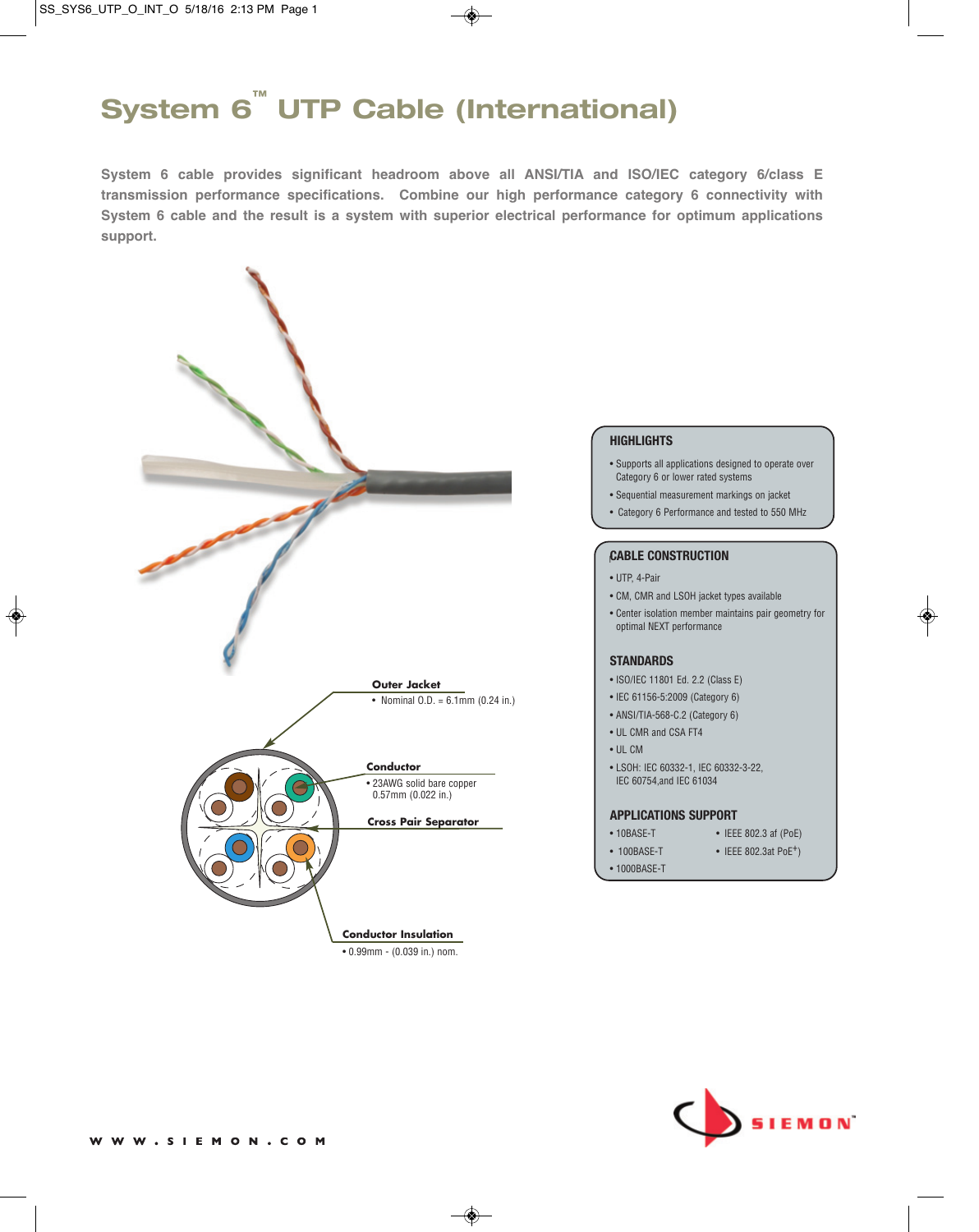# **System 6™ UTP Cable (International)**

**System 6 cable provides significant headroom above all ANSI/TIA and ISO/IEC category 6/class E transmission performance specifications. Combine our high performance category 6 connectivity with System 6 cable and the result is a system with superior electrical performance for optimum applications support.**



#### **HIGHLIGHTS**

- Supports all applications designed to operate over Category 6 or lower rated systems
- Sequential measurement markings on jacket
- Category 6 Performance and tested to 550 MHz

## r **CABLE CONSTRUCTION**

- UTP, 4-Pair
- CM, CMR and LSOH jacket types available
- Center isolation member maintains pair geometry for optimal NEXT performance

#### **STANDARDS**

- ISO/IEC 11801 Ed. 2.2 (Class E)
- IEC 61156-5:2009 (Category 6)
- ANSI/TIA-568-C.2 (Category 6)
- UL CMR and CSA FT4
- UL CM
- LSOH: IEC 60332-1, IEC 60332-3-22, IEC 60754,and IEC 61034

#### **APPLICATIONS SUPPORT**

- 10BASE-T IEEE 802.3 af (PoE)
	-
- 
- 100BASE-T IEEE 802.3at PoE<sup>+</sup>)
- 1000BASE-T

**SIEMON**